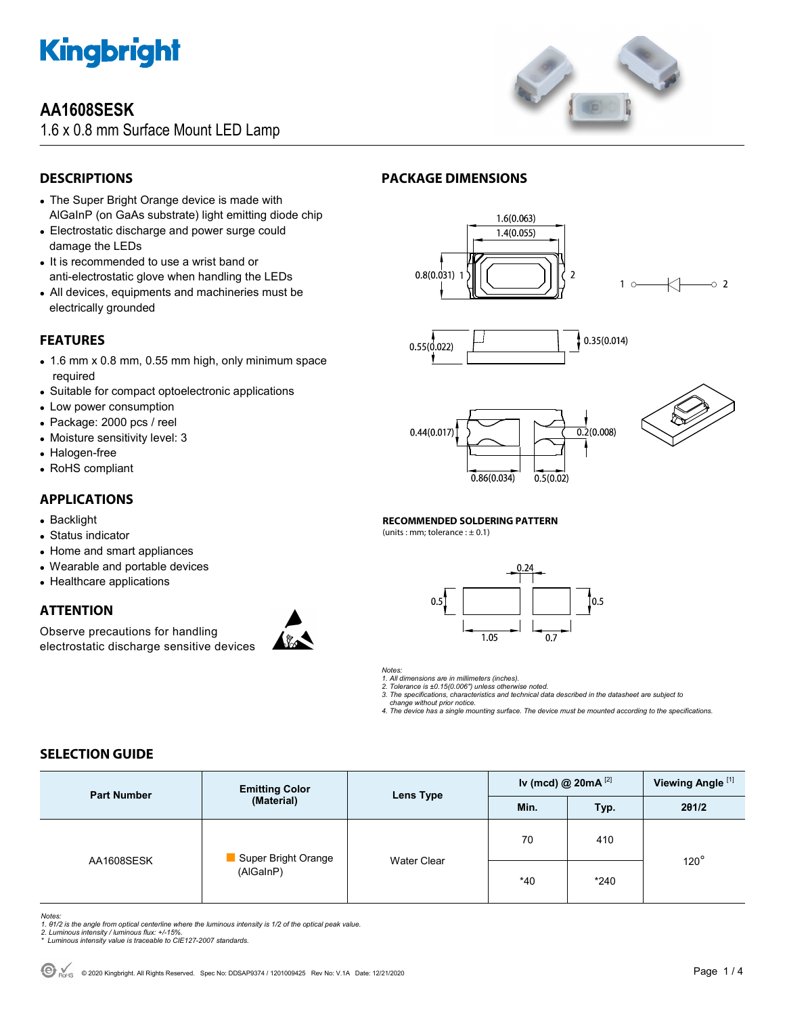

## **AA1608SESK**

1.6 x 0.8 mm Surface Mount LED Lamp



### **DESCRIPTIONS**

- The Super Bright Orange device is made with AlGaInP (on GaAs substrate) light emitting diode chip
- Electrostatic discharge and power surge could damage the LEDs
- It is recommended to use a wrist band or anti-electrostatic glove when handling the LEDs
- All devices, equipments and machineries must be electrically grounded

### **FEATURES**

- 1.6 mm x 0.8 mm, 0.55 mm high, only minimum space required
- Suitable for compact optoelectronic applications
- Low power consumption
- Package: 2000 pcs / reel
- Moisture sensitivity level: 3
- Halogen-free
- RoHS compliant

### **APPLICATIONS**

- Backlight
- Status indicator
- Home and smart appliances
- Wearable and portable devices
- Healthcare applications

### **ATTENTION**

Observe precautions for handling electrostatic discharge sensitive devices



### **PACKAGE DIMENSIONS**









 $\circ$  2

#### **RECOMMENDED SOLDERING PATTERN**

(units : mm; tolerance  $: \pm 0.1$ )





*1. All dimensions are in millimeters (inches).* 

*2. Tolerance is ±0.15(0.006") unless otherwise noted. 3. The specifications, characteristics and technical data described in the datasheet are subject to change without prior notice.* 

*4. The device has a single mounting surface. The device must be mounted according to the specifications.* 

### **SELECTION GUIDE**

| <b>Part Number</b> | <b>Emitting Color</b><br>(Material) | <b>Lens Type</b>   | Iv (mcd) @ $20mA$ <sup>[2]</sup> |        | Viewing Angle <sup>[1]</sup> |  |
|--------------------|-------------------------------------|--------------------|----------------------------------|--------|------------------------------|--|
|                    |                                     |                    | Min.                             | Typ.   | 201/2                        |  |
| AA1608SESK         | Super Bright Orange<br>(AlGaInP)    | <b>Water Clear</b> | 70                               | 410    |                              |  |
|                    |                                     |                    | *40                              | $*240$ | $120^\circ$                  |  |

- Notes:<br>1. 61/2 is the angle from optical centerline where the luminous intensity is 1/2 of the optical peak value.<br>2. Luminous intensity / luminous flux: +/-15%.<br>\* Luminous intensity value is traceable to CIE127-2007 stand
- 
-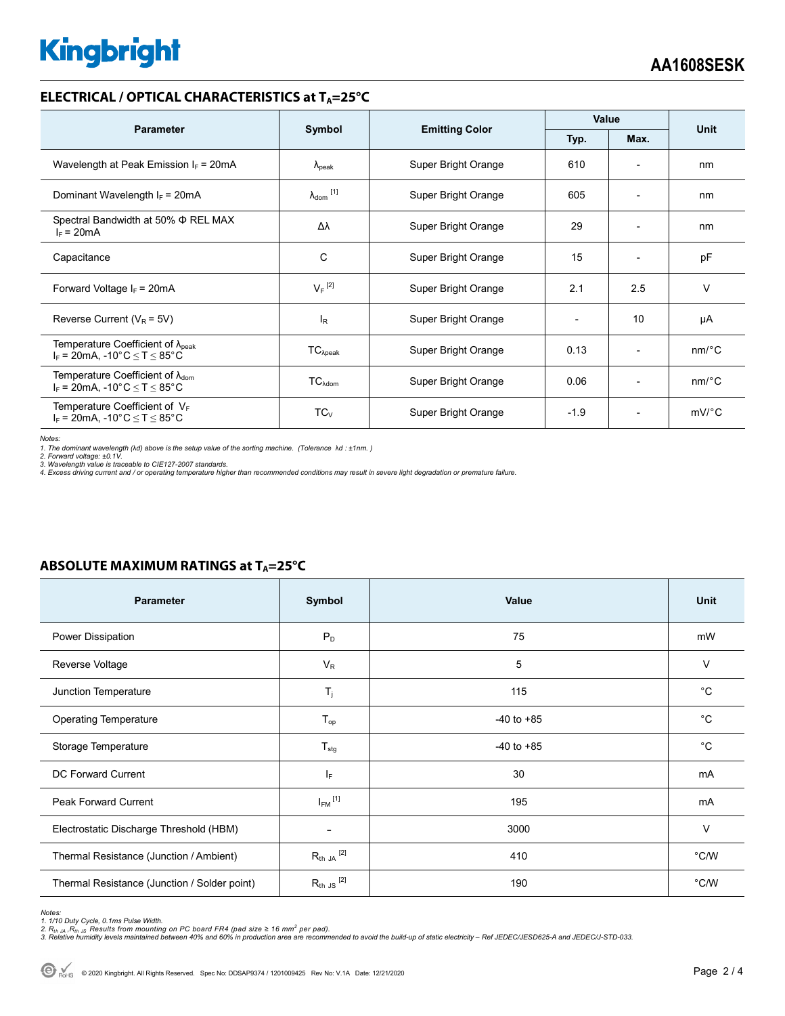# **Kingbright**

### **ELECTRICAL / OPTICAL CHARACTERISTICS at T<sub>A</sub>=25°C**

| <b>Parameter</b>                                                                                                                |                            |                       | Value        |                              | <b>Unit</b>           |
|---------------------------------------------------------------------------------------------------------------------------------|----------------------------|-----------------------|--------------|------------------------------|-----------------------|
|                                                                                                                                 | Symbol                     | <b>Emitting Color</b> | Typ.<br>Max. |                              |                       |
| Wavelength at Peak Emission $I_F$ = 20mA                                                                                        | $\Lambda_{\rm peak}$       | Super Bright Orange   | 610          | ٠                            | nm                    |
| Dominant Wavelength $I_F = 20 \text{mA}$                                                                                        | $\lambda_{\text{dom}}$ [1] | Super Bright Orange   | 605          | $\overline{\phantom{a}}$     | nm                    |
| Spectral Bandwidth at 50% Φ REL MAX<br>$I_F = 20mA$                                                                             | Δλ                         | Super Bright Orange   | 29           | $\overline{\phantom{0}}$     | nm                    |
| Capacitance                                                                                                                     | C                          | Super Bright Orange   | 15           | $\qquad \qquad \blacksquare$ | pF                    |
| Forward Voltage $I_F$ = 20mA                                                                                                    | $V_F$ <sup>[2]</sup>       | Super Bright Orange   | 2.1          | 2.5                          | $\vee$                |
| Reverse Current ( $V_R$ = 5V)                                                                                                   | <sup>I</sup> R             | Super Bright Orange   |              | 10                           | μA                    |
| Temperature Coefficient of $\lambda_{\text{peak}}$<br>$I_F$ = 20mA, -10°C $\leq T \leq 85$ °C                                   | $TC_{\lambda peak}$        | Super Bright Orange   | 0.13         | $\overline{\phantom{0}}$     | $nm$ <sup>o</sup> $C$ |
| Temperature Coefficient of $\lambda_{\text{dom}}$<br>$I_F = 20 \text{mA}, -10^{\circ} \text{C} \leq T \leq 85^{\circ} \text{C}$ | $TC_{\lambda dom}$         | Super Bright Orange   | 0.06         | $\overline{a}$               | $nm$ <sup>o</sup> $C$ |
| Temperature Coefficient of $V_F$<br>$I_F$ = 20mA, -10°C $\leq T \leq 85$ °C                                                     | $TC_{V}$                   | Super Bright Orange   | $-1.9$       | $\overline{\phantom{0}}$     | $mV$ °C               |

*Notes: 1. The dominant wavelength (*λ*d) above is the setup value of the sorting machine. (Tolerance* λ*d : ±1nm. )* 

*2. Forward voltage: ±0.1V. 3. Wavelength value is traceable to CIE127-2007 standards.* 

*4. Excess driving current and / or operating temperature higher than recommended conditions may result in severe light degradation or premature failure.* 

| <b>Parameter</b>                             | Symbol                  | Value          | <b>Unit</b> |
|----------------------------------------------|-------------------------|----------------|-------------|
| Power Dissipation                            | $P_D$                   | 75             | mW          |
| Reverse Voltage                              | $V_R$                   | 5              | $\vee$      |
| Junction Temperature                         | $T_j$                   | 115            | $^{\circ}C$ |
| <b>Operating Temperature</b>                 | $T_{op}$                | $-40$ to $+85$ | $^{\circ}C$ |
| Storage Temperature                          | $T_{\text{stg}}$        | $-40$ to $+85$ | $^{\circ}C$ |
| <b>DC Forward Current</b>                    | $I_F$                   | 30             | mA          |
| <b>Peak Forward Current</b>                  | $I_{FM}$ <sup>[1]</sup> | 195            | mA          |
| Electrostatic Discharge Threshold (HBM)      |                         | 3000           | $\vee$      |
| Thermal Resistance (Junction / Ambient)      | $R_{th}$ ja $^{[2]}$    | 410            | °C/W        |
| Thermal Resistance (Junction / Solder point) | $R_{th}$ JS $^{[2]}$    | 190            | °C/W        |

### **ABSOLUTE MAXIMUM RATINGS at T<sub>A</sub>=25°C**

*Notes:* 

1. 1/10 Duty Cycle, 0.1ms Pulse Width.<br>2. R<sub>th Ja</sub> ,R<sub>h JS</sub> Results from mounting on PC board FR4 (pad size ≥ 16 mm<sup>2</sup> per pad).<br>3. Relative humidity levels maintained between 40% and 60% in production area are recommende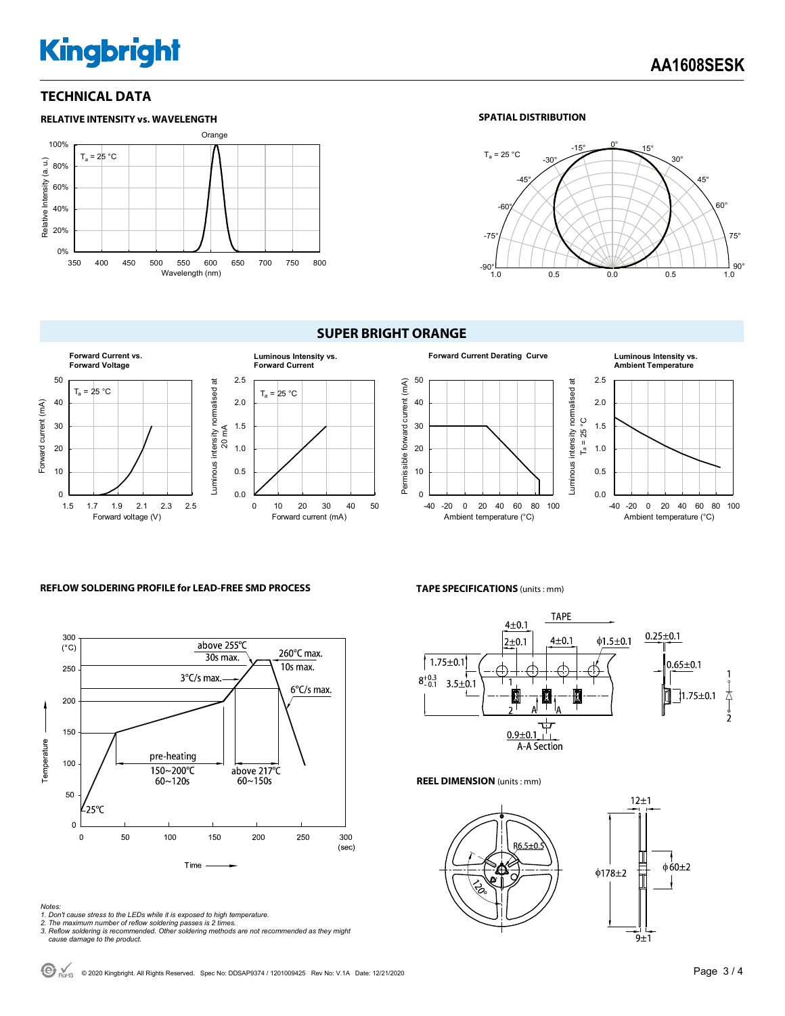# **Kingbright**

### **TECHNICAL DATA**



### **SPATIAL DISTRIBUTION**



### **SUPER BRIGHT ORANGE**







#### *Notes:*

*1. Don't cause stress to the LEDs while it is exposed to high temperature.* 

**TAPE SPECIFICATIONS** (units : mm)



0.0 0.5 1.0 1.5 2.0 2.5

 $T_a = 25 °C$ 

-40 -20 0 20 40 60 80 100 Ambient temperature (°C)

**Ambient Temperature**

**REEL DIMENSION** (units : mm)





*<sup>2.</sup> The maximum number of reflow soldering passes is 2 times. 3. Reflow soldering is recommended. Other soldering methods are not recommended as they might cause damage to the product.*